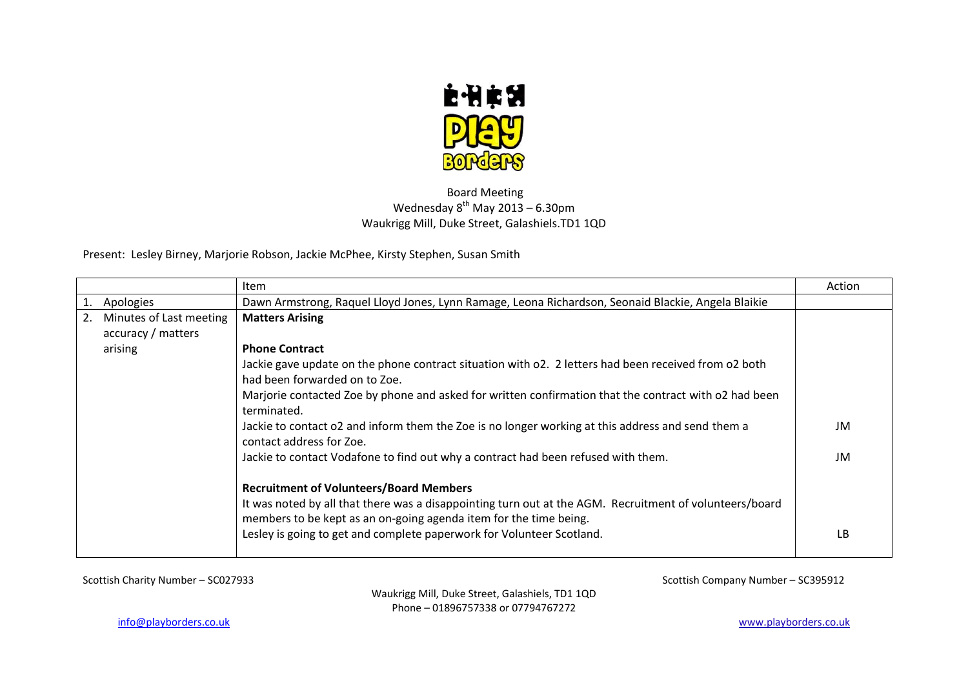

## Board Meeting Wednesday  $8^{th}$  May 2013 – 6.30pm Waukrigg Mill, Duke Street, Galashiels.TD1 1QD

Present: Lesley Birney, Marjorie Robson, Jackie McPhee, Kirsty Stephen, Susan Smith

|                         | Item                                                                                                                                                                                                                           | Action |
|-------------------------|--------------------------------------------------------------------------------------------------------------------------------------------------------------------------------------------------------------------------------|--------|
| Apologies               | Dawn Armstrong, Raquel Lloyd Jones, Lynn Ramage, Leona Richardson, Seonaid Blackie, Angela Blaikie                                                                                                                             |        |
| Minutes of Last meeting | <b>Matters Arising</b>                                                                                                                                                                                                         |        |
| accuracy / matters      |                                                                                                                                                                                                                                |        |
| arising                 | <b>Phone Contract</b>                                                                                                                                                                                                          |        |
|                         | Jackie gave update on the phone contract situation with o2. 2 letters had been received from o2 both<br>had been forwarded on to Zoe.                                                                                          |        |
|                         | Marjorie contacted Zoe by phone and asked for written confirmation that the contract with o2 had been<br>terminated.                                                                                                           |        |
|                         | Jackie to contact o2 and inform them the Zoe is no longer working at this address and send them a<br>contact address for Zoe.                                                                                                  | JM     |
|                         | Jackie to contact Vodafone to find out why a contract had been refused with them.                                                                                                                                              | JM     |
|                         | <b>Recruitment of Volunteers/Board Members</b><br>It was noted by all that there was a disappointing turn out at the AGM. Recruitment of volunteers/board<br>members to be kept as an on-going agenda item for the time being. |        |
|                         | Lesley is going to get and complete paperwork for Volunteer Scotland.                                                                                                                                                          | LB     |

Scottish Charity Number – SC027933 Scottish Company Number – SC395912

Waukrigg Mill, Duke Street, Galashiels, TD1 1QD Phone – 01896757338 or 07794767272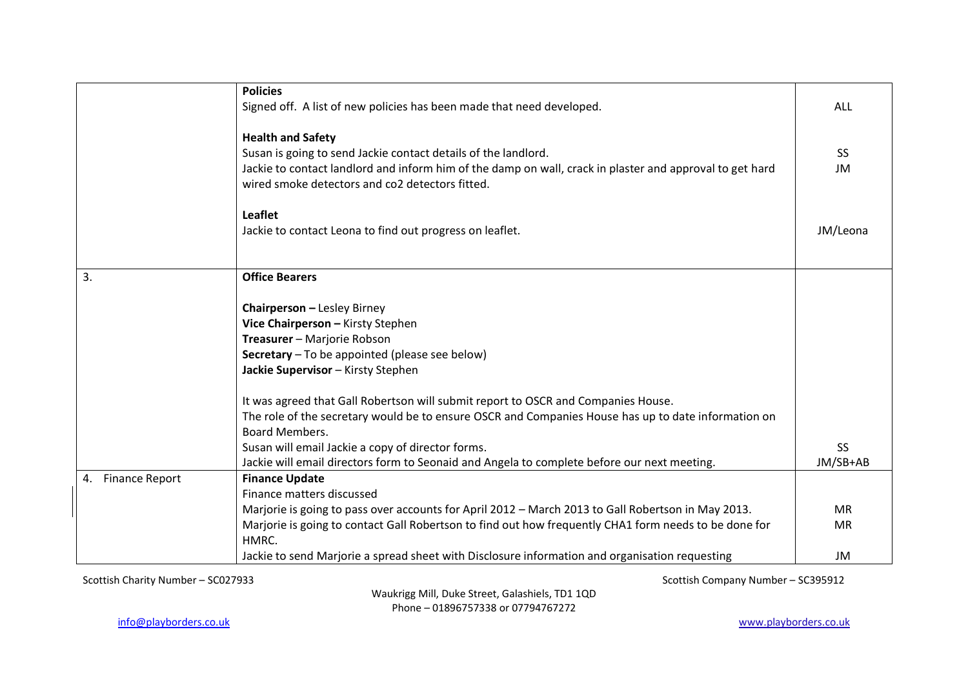|                             | <b>Policies</b>                                                                                                |            |
|-----------------------------|----------------------------------------------------------------------------------------------------------------|------------|
|                             | Signed off. A list of new policies has been made that need developed.                                          | <b>ALL</b> |
|                             |                                                                                                                |            |
|                             | <b>Health and Safety</b>                                                                                       |            |
|                             | Susan is going to send Jackie contact details of the landlord.                                                 | <b>SS</b>  |
|                             | Jackie to contact landlord and inform him of the damp on wall, crack in plaster and approval to get hard       | JM         |
|                             | wired smoke detectors and co2 detectors fitted.                                                                |            |
|                             | <b>Leaflet</b>                                                                                                 |            |
|                             | Jackie to contact Leona to find out progress on leaflet.                                                       | JM/Leona   |
|                             |                                                                                                                |            |
|                             |                                                                                                                |            |
| 3.                          | <b>Office Bearers</b>                                                                                          |            |
|                             |                                                                                                                |            |
|                             | <b>Chairperson - Lesley Birney</b>                                                                             |            |
|                             | Vice Chairperson - Kirsty Stephen                                                                              |            |
|                             | Treasurer - Marjorie Robson                                                                                    |            |
|                             | Secretary - To be appointed (please see below)                                                                 |            |
|                             | Jackie Supervisor - Kirsty Stephen                                                                             |            |
|                             | It was agreed that Gall Robertson will submit report to OSCR and Companies House.                              |            |
|                             | The role of the secretary would be to ensure OSCR and Companies House has up to date information on            |            |
|                             | <b>Board Members.</b>                                                                                          |            |
|                             | Susan will email Jackie a copy of director forms.                                                              | <b>SS</b>  |
|                             | Jackie will email directors form to Seonaid and Angela to complete before our next meeting.                    | JM/SB+AB   |
| <b>Finance Report</b><br>4. | <b>Finance Update</b>                                                                                          |            |
|                             | Finance matters discussed                                                                                      |            |
|                             |                                                                                                                | <b>MR</b>  |
|                             | Marjorie is going to pass over accounts for April 2012 - March 2013 to Gall Robertson in May 2013.             |            |
|                             | Marjorie is going to contact Gall Robertson to find out how frequently CHA1 form needs to be done for<br>HMRC. | <b>MR</b>  |
|                             | Jackie to send Marjorie a spread sheet with Disclosure information and organisation requesting                 | JM         |

Waukrigg Mill, Duke Street, Galashiels, TD1 1QD Phone – 01896757338 or 07794767272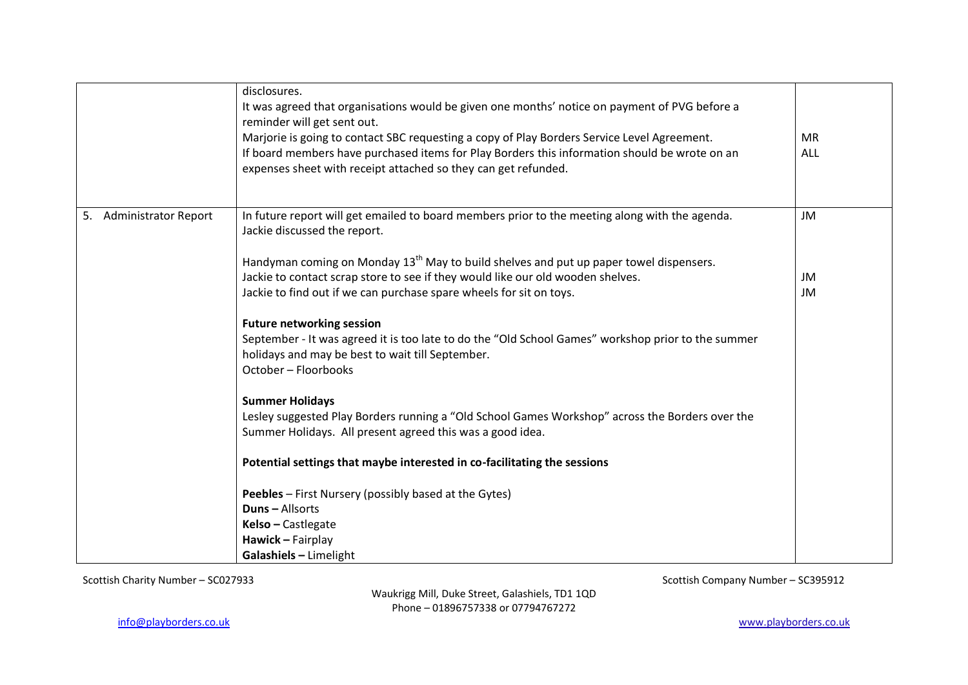|                                   | disclosures.<br>It was agreed that organisations would be given one months' notice on payment of PVG before a<br>reminder will get sent out.<br>Marjorie is going to contact SBC requesting a copy of Play Borders Service Level Agreement.<br>If board members have purchased items for Play Borders this information should be wrote on an<br>expenses sheet with receipt attached so they can get refunded. | <b>MR</b><br><b>ALL</b> |
|-----------------------------------|----------------------------------------------------------------------------------------------------------------------------------------------------------------------------------------------------------------------------------------------------------------------------------------------------------------------------------------------------------------------------------------------------------------|-------------------------|
| 5.<br><b>Administrator Report</b> | In future report will get emailed to board members prior to the meeting along with the agenda.<br>Jackie discussed the report.                                                                                                                                                                                                                                                                                 | JM                      |
|                                   | Handyman coming on Monday 13 <sup>th</sup> May to build shelves and put up paper towel dispensers.                                                                                                                                                                                                                                                                                                             |                         |
|                                   | Jackie to contact scrap store to see if they would like our old wooden shelves.                                                                                                                                                                                                                                                                                                                                | JM                      |
|                                   | Jackie to find out if we can purchase spare wheels for sit on toys.                                                                                                                                                                                                                                                                                                                                            | JM                      |
|                                   | <b>Future networking session</b><br>September - It was agreed it is too late to do the "Old School Games" workshop prior to the summer<br>holidays and may be best to wait till September.<br>October - Floorbooks                                                                                                                                                                                             |                         |
|                                   | <b>Summer Holidays</b><br>Lesley suggested Play Borders running a "Old School Games Workshop" across the Borders over the<br>Summer Holidays. All present agreed this was a good idea.                                                                                                                                                                                                                         |                         |
|                                   | Potential settings that maybe interested in co-facilitating the sessions                                                                                                                                                                                                                                                                                                                                       |                         |
|                                   | Peebles - First Nursery (possibly based at the Gytes)<br><b>Duns-Allsorts</b><br>Kelso - Castlegate<br>Hawick - Fairplay                                                                                                                                                                                                                                                                                       |                         |
|                                   | Galashiels - Limelight                                                                                                                                                                                                                                                                                                                                                                                         |                         |

Waukrigg Mill, Duke Street, Galashiels, TD1 1QD Phone – 01896757338 or 07794767272

[info@playborders.co.uk](mailto:info@playborders.co.uk) www.playborders.co.uk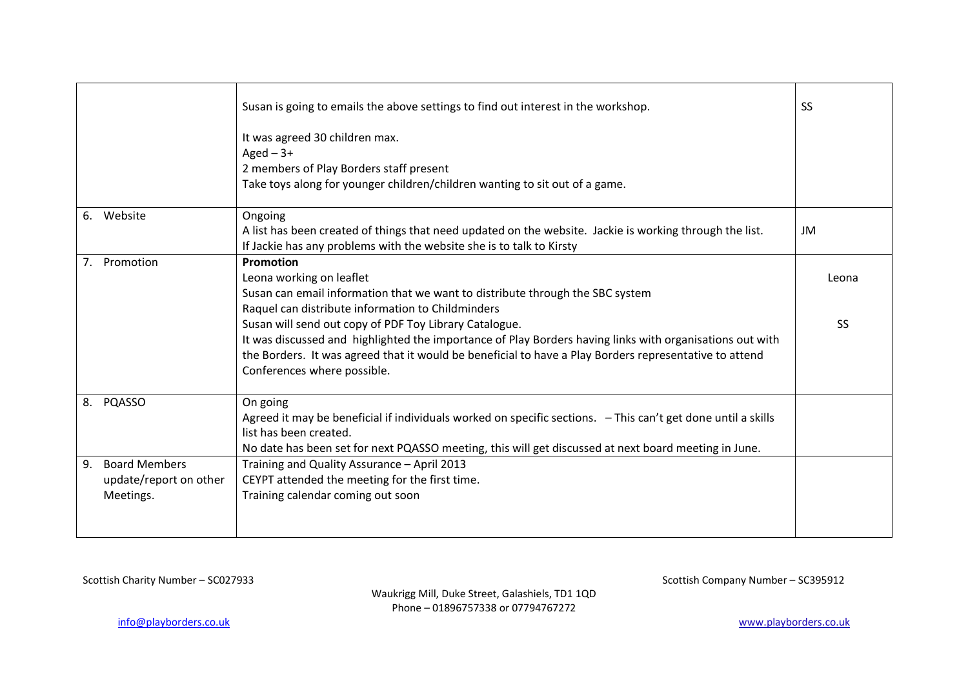|    |                                                             | Susan is going to emails the above settings to find out interest in the workshop.                                                                                                                                                                                                                           | <b>SS</b> |
|----|-------------------------------------------------------------|-------------------------------------------------------------------------------------------------------------------------------------------------------------------------------------------------------------------------------------------------------------------------------------------------------------|-----------|
|    |                                                             | It was agreed 30 children max.<br>Aged $-3+$                                                                                                                                                                                                                                                                |           |
|    |                                                             | 2 members of Play Borders staff present<br>Take toys along for younger children/children wanting to sit out of a game.                                                                                                                                                                                      |           |
| 6. | Website                                                     | Ongoing<br>A list has been created of things that need updated on the website. Jackie is working through the list.<br>If Jackie has any problems with the website she is to talk to Kirsty                                                                                                                  | JM        |
|    | 7. Promotion                                                | Promotion<br>Leona working on leaflet<br>Susan can email information that we want to distribute through the SBC system<br>Raquel can distribute information to Childminders                                                                                                                                 | Leona     |
|    |                                                             | Susan will send out copy of PDF Toy Library Catalogue.<br>It was discussed and highlighted the importance of Play Borders having links with organisations out with<br>the Borders. It was agreed that it would be beneficial to have a Play Borders representative to attend<br>Conferences where possible. | SS        |
|    | 8. PQASSO                                                   | On going<br>Agreed it may be beneficial if individuals worked on specific sections. - This can't get done until a skills<br>list has been created.<br>No date has been set for next PQASSO meeting, this will get discussed at next board meeting in June.                                                  |           |
| 9. | <b>Board Members</b><br>update/report on other<br>Meetings. | Training and Quality Assurance - April 2013<br>CEYPT attended the meeting for the first time.<br>Training calendar coming out soon                                                                                                                                                                          |           |

Waukrigg Mill, Duke Street, Galashiels, TD1 1QD Phone – 01896757338 or 07794767272

[info@playborders.co.uk](mailto:info@playborders.co.uk) www.playborders.co.uk